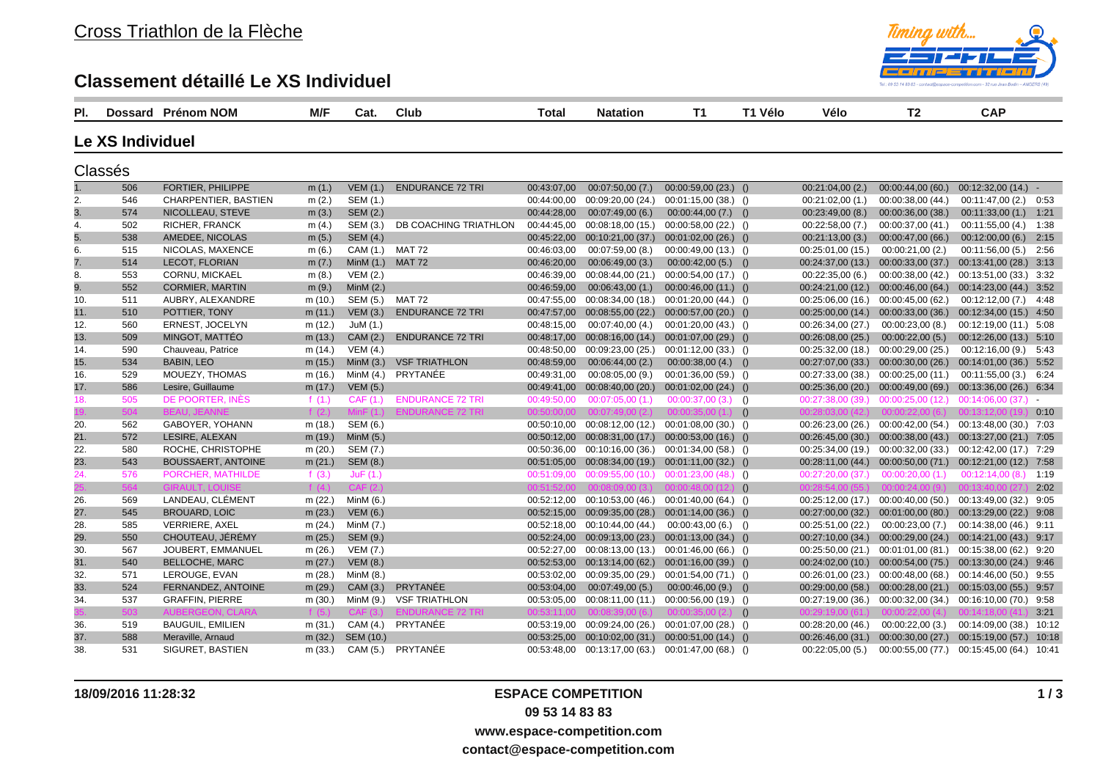## **Classement détaillé Le XS Individuel**



| PI. |                  | Dossard Prénom NOM      | M/F       | Cat.             | Club                    | Total       | <b>Natation</b>                                          | <b>T1</b>                               | T1 Vélo | Vélo              | T <sub>2</sub>                                              | <b>CAP</b>              |      |
|-----|------------------|-------------------------|-----------|------------------|-------------------------|-------------|----------------------------------------------------------|-----------------------------------------|---------|-------------------|-------------------------------------------------------------|-------------------------|------|
|     | Le XS Individuel |                         |           |                  |                         |             |                                                          |                                         |         |                   |                                                             |                         |      |
|     | Classés          |                         |           |                  |                         |             |                                                          |                                         |         |                   |                                                             |                         |      |
| 1.  | 506              | FORTIER, PHILIPPE       | m(1.)     | VEM(1.)          | <b>ENDURANCE 72 TRI</b> | 00:43:07,00 | 00:07:50,00(7.)                                          | $00:00:59,00(23)$ ()                    |         | 00:21:04,00(2)    | 00:00:44,00 (60.)                                           | $00:12:32:00(14)$ -     |      |
| 2.  | 546              | CHARPENTIER, BASTIEN    | m(2.)     | SEM (1.)         |                         |             | 00:44:00,00 00:09:20,00 (24.)                            | $00:01:15,00(38)$ ()                    |         | 00:21:02,00(1)    | 00:00:38,00 (44.)                                           | $00:11:47,00(2.)$ 0:53  |      |
| 3.  | 574              | NICOLLEAU, STEVE        | m(3.)     | <b>SEM (2.)</b>  |                         | 00:44:28,00 | 00:07:49,00(6.)                                          | $00:00:44,00(7)$ ()                     |         | 00:23:49:00(8.)   | 00:00:36,00(38)                                             | 00:11:33,00 (1.) 1:21   |      |
| 4.  | 502              | RICHER, FRANCK          | m(4.)     | SEM (3.)         | DB COACHING TRIATHLON   |             | 00:44:45.00 00:08:18.00 (15.) 00:00:58.00 (22.) ()       |                                         |         | 00:22:58,00(7.)   | 00:00:37,00 (41.)                                           | 00:11:55,00 (4.) 1:38   |      |
| 5.  | 538              | AMEDEE, NICOLAS         | m(5.)     | <b>SEM (4.)</b>  |                         |             | 00:45:22,00 00:10:21,00 (37.) 00:01:02,00 (26.) ()       |                                         |         | 00:21:13,00(3)    | 00:00:47,00 (66.)                                           | $00:12:00,00(6.)$ 2:15  |      |
| 6.  | 515              | NICOLAS, MAXENCE        | m(6.)     |                  | CAM (1.) MAT 72         | 00:46:03,00 | 00:07:59,00(8.)                                          | $00:00:49,00(13)$ ()                    |         |                   | $00:25:01,00(15.)$ $00:00:21,00(2.)$                        | 00:11:56,00 (5.) 2:56   |      |
| 7.  | 514              | LECOT, FLORIAN          | m $(7.)$  | MinM (1.) MAT 72 |                         | 00:46:20,00 | 00:06:49,00(3.)                                          | $00:00:42,00(5.)$ ()                    |         |                   | $00:24:37,00(13)$ $00:00:33,00(37)$                         | 00:13:41,00 (28.) 3:13  |      |
| 8.  | 553              | CORNU, MICKAEL          | m(8.)     | <b>VEM (2.)</b>  |                         | 00:46:39,00 | 00:08:44,00 (21.) 00:00:54,00 (17.) ()                   |                                         |         | 00:22:35,00(6.)   | 00:00:38,00 (42.)                                           | 00:13:51,00 (33.) 3:32  |      |
| 9.  | 552              | <b>CORMIER, MARTIN</b>  | m(9.)     | Min $M(2)$       |                         | 00:46:59,00 | 00:06:43,00(1)                                           | $00:00:46,00(11)$ ()                    |         |                   | 00:24:21,00 (12.) 00:00:46,00 (64.) 00:14:23,00 (44.) 3:52  |                         |      |
| 10. | 511              | AUBRY, ALEXANDRE        | m (10.)   | SEM (5.)         | MAT 72                  |             | 00:47:55,00 00:08:34,00 (18.) 00:01:20,00 (44.) ()       |                                         |         |                   | $00:25:06,00(16.)$ $00:00:45,00(62.)$                       | 00:12:12,00 (7.) 4:48   |      |
| 11. | 510              | POTTIER, TONY           | m(11.)    | VEM(3.)          | <b>ENDURANCE 72 TRI</b> |             | $00:47:57,00$ $00:08:55,00$ (22.) $00:00:57,00$ (20.) () |                                         |         |                   | 00:25:00,00 (14.) 00:00:33,00 (36.) 00:12:34,00 (15.) 4:50  |                         |      |
| 12. | 560              | ERNEST, JOCELYN         | m (12.)   | JuM $(1.)$       |                         | 00:48:15,00 | 00:07:40,00 (4.)                                         | $00:01:20,00(43.)$ ()                   |         | 00:26:34,00 (27.) | 00:00:23,00 (8.)                                            | 00:12:19,00 (11.) 5:08  |      |
| 13. | 509              | MINGOT, MATTÉO          | m(13.)    | CAM (2.)         | <b>ENDURANCE 72 TRI</b> |             | 00:48:17,00 00:08:16,00 (14.)                            | $00:01:07,00(29)$ ()                    |         | 00:26:08,00 (25.) | 00:00:22,00(5)                                              | 00:12:26,00 (13.) 5:10  |      |
| 14. | 590              | Chauveau, Patrice       | m $(14.)$ | VEM(4.)          |                         | 00:48:50,00 | 00:09:23,00 (25.)                                        | 00:01:12,00 (33.) ()                    |         |                   | 00:25:32,00 (18.) 00:00:29,00 (25.)                         | 00:12:16,00 (9.) 5:43   |      |
| 15. | 534              | <b>BABIN, LEO</b>       | m $(15.)$ |                  | MinM (3.) VSF TRIATHLON | 00:48:59,00 | 00:06:44,00(2)                                           | $00:00:38,00(4.)$ ()                    |         |                   | 00:27:07,00 (33.) 00:00:30,00 (26.) 00:14:01,00 (36.) 5:52  |                         |      |
| 16. | 529              | MOUEZY, THOMAS          | m (16.)   |                  | MinM (4.) PRYTANÉE      | 00:49:31,00 | 00:08:05,00(9)                                           | $00:01:36,00(59)$ ()                    |         |                   | 00:27:33,00 (38.) 00:00:25,00 (11.) 00:11:55,00 (3.) 6:24   |                         |      |
| 17. | 586              | Lesire, Guillaume       | m $(17.)$ | <b>VEM (5.)</b>  |                         |             | 00:49:41,00 00:08:40,00 (20.)                            | $00:01:02,00(24.)$ ()                   |         |                   | 00:25:36,00 (20.) 00:00:49,00 (69.) 00:13:36,00 (26.) 6:34  |                         |      |
| 18. | 505              | DE POORTER, INÈS        | f $(1.)$  | CAF(1.)          | <b>ENDURANCE 72 TRI</b> | 00:49:50.00 | 00:07:05,00(1)                                           | $00:00:37,00(3)$ ()                     |         |                   | $00:27:38,00(39.)$ $00:00:25,00(12.)$ $00:14:06,00(37.)$ -  |                         |      |
|     | 504              |                         | f $(2.)$  |                  | <b>ENDURANCE 72 TRI</b> | 00:50:00.00 | 00:07:49.00(2)                                           | 00:00:35.00(1)                          | ()      |                   | $00:28:03.00(42)$ $00:00:22.00(6)$ $00:13:12.00(19)$        |                         | 0:10 |
| 20. | 562              | GABOYER, YOHANN         | m (18.)   | SEM (6.)         |                         |             | 00:50:10,00 00:08:12,00 (12.) 00:01:08,00 (30.) ()       |                                         |         |                   | 00:26:23,00 (26.) 00:00:42,00 (54.) 00:13:48,00 (30.) 7:03  |                         |      |
| 21. | 572              | LESIRE, ALEXAN          | m(19.)    | MinM $(5.)$      |                         |             | $00:50:12,00$ $00:08:31,00$ (17.) $00:00:53,00$ (16.) () |                                         |         |                   | 00:26:45,00 (30.) 00:00:38,00 (43.) 00:13:27,00 (21.) 7:05  |                         |      |
| 22. | 580              | ROCHE, CHRISTOPHE       | m(20.)    | SEM (7.)         |                         |             | 00:50:36,00 00:10:16,00 (36.) 00:01:34,00 (58.) ()       |                                         |         |                   | 00:25:34,00 (19.) 00:00:32,00 (33.) 00:12:42,00 (17.) 7:29  |                         |      |
| 23. | 543              | BOUSSAERT, ANTOINE      | m(21.)    | <b>SEM (8.)</b>  |                         |             | 00:51:05.00 00:08:34.00 (19.) 00:01:11.00 (32.) ()       |                                         |         |                   | 00:28:11.00 (44.) 00:00:50.00 (71.) 00:12:21.00 (12.) 7:58  |                         |      |
| 24. | 576              | PORCHER, MATHILDE       | f $(3.)$  | JuF(1.)          |                         | 00:51:09.00 | 00:09:55,00(10.)                                         | $00:01:23,00(48)$ ()                    |         | 00:27:20,00(37.)  | 00:00:20,00(1)                                              | 00:12:14.00(8)          | 1:19 |
|     | 564              | <b>GIRAULT, LOUI</b>    | f $(4.)$  | CAF(2.)          |                         | 00:51:52.00 |                                                          | $00:08:09,00(3.)$ $00:00:48,00(12.)$ (1 |         | 00:28:54.00(55)   | 00:00:24,00 (9.) 00:13:40,00 (27                            |                         | 2:02 |
| 26. | 569              | LANDEAU, CLÉMENT        | m (22.)   | Min $M(6.)$      |                         |             | 00:52:12,00 00:10:53,00 (46.) 00:01:40,00 (64.) ()       |                                         |         |                   | 00:25:12,00 (17.) 00:00:40,00 (50.) 00:13:49,00 (32.) 9:05  |                         |      |
| 27. | 545              | <b>BROUARD, LOIC</b>    | m(23.)    | <b>VEM (6.)</b>  |                         |             | $00:52:15,00$ $00:09:35,00$ (28.) $00:01:14,00$ (36.) () |                                         |         |                   | 00:27:00.00 (32.) 00:01:00.00 (80.) 00:13:29.00 (22.) 9:08  |                         |      |
| 28. | 585              | <b>VERRIERE, AXEL</b>   | m(24.)    | MinM (7.)        |                         |             | 00:52:18,00 00:10:44,00 (44.)                            | $00:00:43,00(6.)$ ()                    |         |                   | $00:25:51,00(22)$ $00:00:23,00(7)$                          | 00:14:38,00 (46.) 9:11  |      |
| 29. | 550              | CHOUTEAU, JÉRÉMY        | m(25.)    | SEM (9.)         |                         |             | 00:52:24,00 00:09:13,00 (23.) 00:01:13,00 (34.) ()       |                                         |         |                   | 00:27:10,00 (34.) 00:00:29,00 (24.) 00:14:21,00 (43.) 9:17  |                         |      |
| 30. | 567              | JOUBERT, EMMANUEL       | m(26.)    | <b>VEM (7.)</b>  |                         |             | 00:52:27,00 00:08:13,00 (13.) 00:01:46,00 (66.) ()       |                                         |         |                   | 00:25:50,00 (21.) 00:01:01,00 (81.) 00:15:38,00 (62.) 9:20  |                         |      |
| 31. | 540              | <b>BELLOCHE, MARC</b>   | m(27.)    | <b>VEM (8.)</b>  |                         |             | 00:52:53,00 00:13:14,00 (62.) 00:01:16,00 (39.) ()       |                                         |         |                   | 00:24:02,00 (10.) 00:00:54,00 (75.) 00:13:30,00 (24.) 9:46  |                         |      |
| 32. | 571              | LEROUGE, EVAN           | m(28.)    | MinM (8.)        |                         |             | 00:53:02,00 00:09:35,00 (29.)                            | 00:01:54,00 (71.) ()                    |         |                   | 00:26:01,00 (23.) 00:00:48,00 (68.) 00:14:46,00 (50.) 9:55  |                         |      |
| 33. | 524              | FERNANDEZ, ANTOINE      | m(29.)    | CAM(3.)          | PRYTANÉE                |             | 00:53:04,00 00:07:49,00 (5.)                             | $00:00:46,00(9.)$ ()                    |         |                   | 00:29:00,00 (58.) 00:00:28,00 (21.) 00:15:03,00 (55.) 9:57  |                         |      |
| 34. | 537              | <b>GRAFFIN, PIERRE</b>  | m(30.)    | MinM (9.)        | <b>VSF TRIATHLON</b>    |             | 00:53:05,00 00:08:11,00 (11.) 00:00:56,00 (19.) ()       |                                         |         |                   | 00:27:19,00 (36.) 00:00:32,00 (34.)                         | 00:16:10,00 (70.) 9:58  |      |
|     | 503              | <b>AUBERGEON, CLARA</b> | f $(5.)$  | CAF(3.)          | <b>ENDURANCE 72 TRI</b> | 00:53:11,00 | 00:08:39:00(6)                                           | $00:00:35,00(2)$ (                      |         | 00:29:19.00(61)   | 00:00:22.00(4)                                              | 00:14:18.00(41)         | 3:21 |
| 36. | 519              | <b>BAUGUIL, EMILIEN</b> | m(31.)    | CAM (4.)         | PRYTANÉE                |             | 00:53:19,00 00:09:24,00 (26.)                            | $00:01:07,00(28)$ ()                    |         | 00:28:20,00(46.)  | 00:00:22,00(3)                                              | 00:14:09.00 (38.) 10:12 |      |
| 37. | 588              | Meraville, Arnaud       | m $(32.)$ | SEM (10.)        |                         |             | $00:53:25,00$ $00:10:02,00$ (31.) $00:00:51,00$ (14.) () |                                         |         |                   | 00:26:46,00 (31.) 00:00:30,00 (27.) 00:15:19,00 (57.) 10:18 |                         |      |
| 38. | 531              | SIGURET, BASTIEN        | m(33.)    |                  | CAM (5.) PRYTANÉE       |             | 00:53:48,00 00:13:17,00 (63.) 00:01:47,00 (68.) ()       |                                         |         | 00:22:05,00(5)    | 00:00:55,00 (77.) 00:15:45,00 (64.) 10:41                   |                         |      |

**18/09/2016 11:28:32 ESPACE COMPETITION**

**09 53 14 83 83**

**www.espace-competition.com**

**contact@espace-competition.com**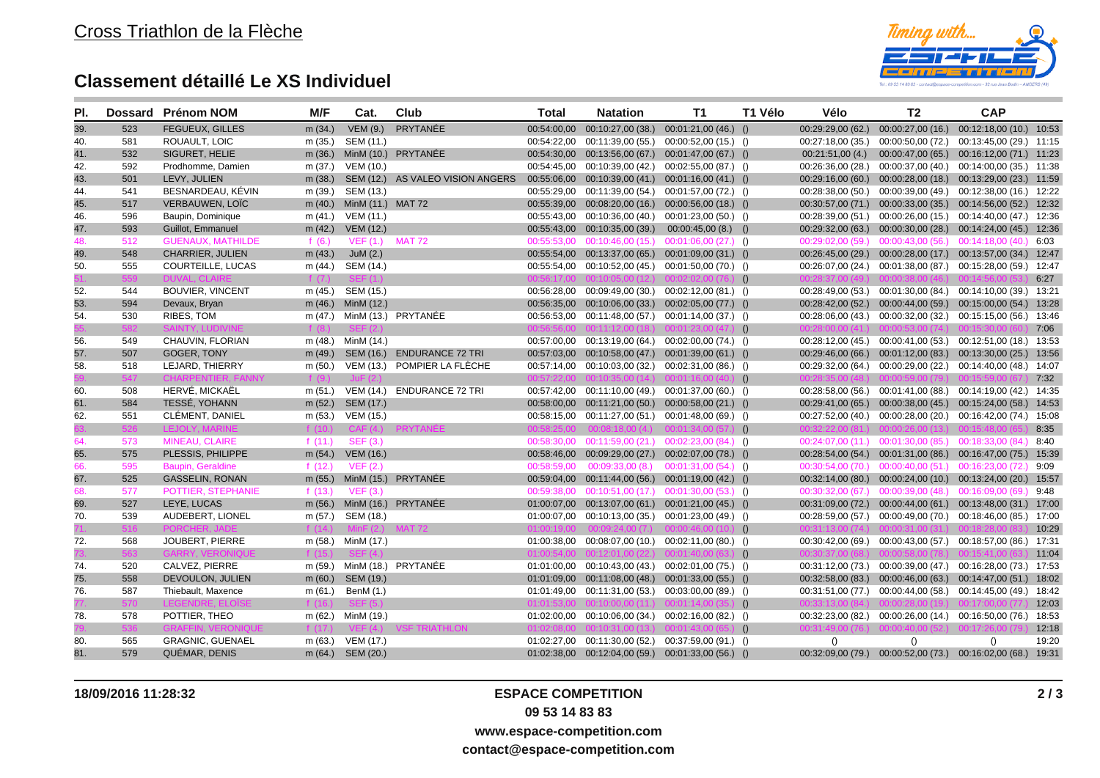

## **Classement détaillé Le XS Individuel**

| PI. |     | Dossard Prénom NOM        | M/F       | Cat.               | Club                             | <b>Total</b> | <b>Natation</b>                                          | T <sub>1</sub>        | T1 Vélo | Vélo                              | T <sub>2</sub>                                              | <b>CAP</b>                                |       |
|-----|-----|---------------------------|-----------|--------------------|----------------------------------|--------------|----------------------------------------------------------|-----------------------|---------|-----------------------------------|-------------------------------------------------------------|-------------------------------------------|-------|
| 39. | 523 | <b>FEGUEUX. GILLES</b>    | m(34.)    | <b>VEM (9.)</b>    | PRYTANÉE                         | 00:54:00.00  | 00:10:27,00 (38.)                                        | $00:01:21,00(46.)$ () |         | 00:29:29.00(62)                   | 00:00:27,00(16.)                                            | 00:12:18,00 (10.) 10:53                   |       |
| 40. | 581 | ROUAULT, LOIC             | m(35.)    | SEM (11.)          |                                  |              | 00:54:22,00 00:11:39,00 (55.) 00:00:52,00 (15.) ()       |                       |         | 00:27:18.00(35.)                  | 00:00:50,00 (72.)                                           | 00:13:45,00 (29.) 11:15                   |       |
| 41. | 532 | SIGURET, HELIE            |           |                    | m (36.) MinM (10.) PRYTANÉE      |              | 00:54:30,00 00:13:56,00 (67.) 00:01:47,00 (67.) ()       |                       |         | 00:21:51,00(4)                    |                                                             | 00:00:47,00 (65.) 00:16:12,00 (71.) 11:23 |       |
| 42. | 592 | Prodhomme, Damien         | m (37.)   | VEM (10.)          |                                  |              | 00:54:45,00 00:10:39,00 (42.) 00:02:55,00 (87.) ()       |                       |         | 00:26:36,00 (28.)                 | 00:00:37,00 (40.)                                           | 00:14:00,00 (35.) 11:38                   |       |
| 43. | 501 | LEVY, JULIEN              | m(38.)    |                    | SEM (12.) AS VALEO VISION ANGERS |              | $00:55:06,00$ $00:10:39,00(41.)$ $00:01:16,00(41.)$ ()   |                       |         |                                   | 00:29:16,00 (60.) 00:00:28,00 (18.) 00:13:29,00 (23.) 11:59 |                                           |       |
| 44. | 541 | BESNARDEAU, KÉVIN         | m (39.)   | SEM (13.)          |                                  |              | 00:55:29,00 00:11:39,00 (54.) 00:01:57,00 (72.) ()       |                       |         | 00:28:38,00(50.)                  | 00:00:39,00 (49.)                                           | 00:12:38,00 (16.) 12:22                   |       |
| 45. | 517 | <b>VERBAUWEN, LOÏC</b>    | m $(40.)$ | MinM (11.) MAT 72  |                                  |              | 00:55:39,00 00:08:20,00 (16.) 00:00:56,00 (18.) ()       |                       |         |                                   | 00:30:57,00 (71.) 00:00:33,00 (35.) 00:14:56,00 (52.) 12:32 |                                           |       |
| 46. | 596 | Baupin, Dominique         | m(41.)    | VEM (11.)          |                                  | 00:55:43.00  | 00:10:36,00 (40.) 00:01:23,00 (50.) ()                   |                       |         |                                   | 00:28:39.00 (51.) 00:00:26.00 (15.) 00:14:40.00 (47.) 12:36 |                                           |       |
| 47. | 593 | Guillot, Emmanuel         | m $(42.)$ | VEM (12.)          |                                  |              | 00:55:43,00 00:10:35,00 (39.) 00:00:45,00 (8.) ()        |                       |         |                                   | 00:29:32,00 (63.) 00:00:30,00 (28.) 00:14:24,00 (45.) 12:36 |                                           |       |
| 48. | 512 | <b>GUENAUX, MATHILDE</b>  | f $(6.)$  | VEF (1.) MAT 72    |                                  |              | 00:55:53,00 00:10:46,00 (15.) 00:01:06,00 (27.) ()       |                       |         |                                   | 00:29:02,00 (59.) 00:00:43,00 (56.) 00:14:18,00 (40.) 6:03  |                                           |       |
| 49. | 548 | <b>CHARRIER, JULIEN</b>   | m $(43.)$ | JuM $(2.)$         |                                  |              | $00:55:54,00$ $00:13:37,00$ (65.) $00:01:09,00$ (31.) () |                       |         |                                   | 00:26:45,00 (29.) 00:00:28,00 (17.) 00:13:57,00 (34.) 12:47 |                                           |       |
| 50. | 555 | COURTEILLE, LUCAS         | m $(44.)$ | SEM (14.)          |                                  |              | 00:55:54,00 00:10:52,00 (45.) 00:01:50,00 (70.) ()       |                       |         |                                   | 00:26:07,00 (24.) 00:01:38,00 (87.) 00:15:28,00 (59.) 12:47 |                                           |       |
|     |     | <b>DUVAL, CLAIR</b>       | f $(7.)$  |                    |                                  |              | $00:56:17,00$ $00:10:05,00$ (12.) $00:02:02,00$ (76.) () |                       |         |                                   |                                                             |                                           | 6:27  |
| 52. | 544 | <b>BOUVIER, VINCENT</b>   | m (45.)   | SEM (15.)          |                                  |              | 00:56:28,00 00:09:49,00 (30.) 00:02:12,00 (81.) ()       |                       |         |                                   | 00:28:49,00 (53.) 00:01:30,00 (84.)                         | 00:14:10,00 (39.) 13:21                   |       |
| 53. | 594 | Devaux, Bryan             |           | m (46.) MinM (12.) |                                  |              | 00:56:35,00 00:10:06,00 (33.) 00:02:05,00 (77.) ()       |                       |         |                                   | 00:28:42,00 (52.) 00:00:44,00 (59.) 00:15:00,00 (54.) 13:28 |                                           |       |
| 54. | 530 | RIBES, TOM                |           |                    | m $(47.)$ MinM $(13.)$ PRYTANEE  |              | 00:56:53,00 00:11:48,00 (57.) 00:01:14,00 (37.) ()       |                       |         |                                   | 00:28:06.00 (43.) 00:00:32.00 (32.) 00:15:15.00 (56.) 13:46 |                                           |       |
|     |     | SAINTY. LUDIVINE          | f $(8.)$  |                    |                                  |              | $00:56:56,00$ $00:11:12,00$ (18.) $00:01:23,00$ (47.) (  |                       |         |                                   |                                                             |                                           | 7:06  |
| 56. | 549 | CHAUVIN, FLORIAN          |           | m (48.) MinM (14.) |                                  |              | 00:57:00,00 00:13:19,00 (64.) 00:02:00,00 (74.) ()       |                       |         |                                   | 00:28:12,00 (45.) 00:00:41,00 (53.) 00:12:51,00 (18.) 13:53 |                                           |       |
| 57. | 507 | GOGER, TONY               | m $(49.)$ |                    | SEM (16.) ENDURANCE 72 TRI       |              | 00:57:03,00 00:10:58,00 (47.) 00:01:39,00 (61.) ()       |                       |         |                                   | 00:29:46,00 (66.) 00:01:12,00 (83.) 00:13:30,00 (25.) 13:56 |                                           |       |
| 58. | 518 | LEJARD, THIERRY           | m(50.)    |                    | VEM (13.) POMPIER LA FLÈCHE      |              | 00:57:14,00 00:10:03,00 (32.) 00:02:31,00 (86.) ()       |                       |         |                                   | 00:29:32,00 (64.) 00:00:29,00 (22.) 00:14:40,00 (48.) 14:07 |                                           |       |
|     | 547 | <b>CHARPENTIER, FANNY</b> | f $(9.)$  | $\ln$ F (2)        |                                  |              | $00:57:22,00$ $00:10:35,00$ (14.) $00:01:16,00$ (40.) (  |                       |         |                                   |                                                             |                                           | 7:32  |
| 60. | 508 | HERVÉ, MICKAËL            | m (51.)   |                    | VEM (14.) ENDURANCE 72 TRI       |              | 00:57:42,00 00:11:10,00 (49.) 00:01:37,00 (60.) ()       |                       |         |                                   | 00:28:58,00 (56.) 00:01:41,00 (88.) 00:14:19,00 (42.) 14:35 |                                           |       |
| 61. | 584 | TESSÉ, YOHANN             | m(52.)    | SEM (17.)          |                                  |              | 00:58:00.00  00:11:21.00  (50.)  00:00:58.00  (21.)  ()  |                       |         |                                   | 00:29:41,00 (65.) 00:00:38,00 (45.) 00:15:24,00 (58.) 14:53 |                                           |       |
| 62. | 551 | CLÉMENT, DANIEL           | m (53.)   | VEM (15.)          |                                  |              | 00:58:15,00 00:11:27,00 (51.) 00:01:48,00 (69.) ()       |                       |         |                                   | 00:27:52,00 (40.) 00:00:28,00 (20.) 00:16:42,00 (74.) 15:08 |                                           |       |
|     | 526 | <b>LEJOLY, MARINE</b>     | f(10.)    |                    | CAF (4.) PRYTANEE                |              | $00:58:25.00$ $00:08:18.00(4)$ $00:01:34.00(57)$ (       |                       |         |                                   |                                                             |                                           | 8:35  |
| 64. | 573 | MINEAU, CLAIRE            | f $(11.)$ | <b>SEF (3.)</b>    |                                  |              | 00:58:30,00  00:11:59,00  (21.)  00:02:23,00  (84.)  ()  |                       |         |                                   | 00:24:07.00 (11.) 00:01:30.00 (85.) 00:18:33.00 (84.)       |                                           | 8:40  |
| 65. | 575 | PLESSIS, PHILIPPE         | m(54.)    | VEM (16.)          |                                  |              | 00:58:46.00 00:09:29.00 (27.) 00:02:07.00 (78.) ()       |                       |         |                                   | 00:28:54,00 (54.) 00:01:31,00 (86.) 00:16:47,00 (75.) 15:39 |                                           |       |
| 66. | 595 | Baupin, Geraldine         | f(12.)    | VEF(2.)            |                                  | 00:58:59.00  | 00:09:33.00(8)                                           | $00:01:31,00(54)$ ()  |         |                                   | 00:30:54.00 (70.) 00:00:40.00 (51.) 00:16:23.00 (72.)       |                                           | 9:09  |
| 67. | 525 | <b>GASSELIN, RONAN</b>    | m(55.)    |                    | MinM (15.) PRYTANÉE              |              | 00:59:04,00  00:11:44,00  (56.)  00:01:19,00  (42.)  ()  |                       |         |                                   | 00:32:14,00 (80.) 00:00:24,00 (10.) 00:13:24,00 (20.) 15:57 |                                           |       |
| 68. | 577 | POTTIER, STEPHANIE        | f(13.)    | VEF(3.)            |                                  | 00:59:38.00  | $00:10:51,00(17)$ $00:01:30,00(53)$ (                    |                       |         |                                   | $00:30:32,00$ (67.) $00:00:39,00$ (48.) $00:16:09,00$ (69.) |                                           | 9:48  |
| 69. | 527 | LEYE, LUCAS               | m(56.)    |                    | MinM (16.) PRYTANÉE              |              | 01:00:07,00 00:13:07,00 (61.) 00:01:21,00 (45.) ()       |                       |         |                                   | 00:31:09,00 (72.) 00:00:44,00 (61.) 00:13:48,00 (31.) 17:00 |                                           |       |
| 70. | 539 | AUDEBERT, LIONEL          |           | m (57.) SEM (18.)  |                                  |              | 01:00:07,00  00:10:13,00  (35.)  00:01:23,00  (49.)  ()  |                       |         |                                   | 00:28:59,00 (57.) 00:00:49,00 (70.) 00:18:46,00 (85.) 17:00 |                                           |       |
|     | 516 | <b>PORCHER</b>            | f $(14)$  | MinF(2)            | <b>MAT 72</b>                    |              | $01:00:19.00$ $00:09:24.00$ (7.) $00:00:46.00$ (10.) (   |                       |         | 00:31:13.00 (74.) 00:00:31,00 (3) |                                                             |                                           | 10:29 |
| 72. | 568 | <b>JOUBERT, PIERRE</b>    |           | m (58.) MinM (17.) |                                  |              | 01:00:38,00 00:08:07,00 (10.) 00:02:11,00 (80.) ()       |                       |         |                                   | 00:30:42,00 (69.) 00:00:43,00 (57.) 00:18:57,00 (86.) 17:31 |                                           |       |
|     | 563 | <b>GARRY, VERONIQUE</b>   | f(15.)    | SFF(4)             |                                  |              | $01:00:54,00$ $00:12:01,00$ (22.) $00:01:40,00$ (63.) () |                       |         |                                   |                                                             |                                           | 11:04 |
| 74. | 520 | CALVEZ, PIERRE            |           |                    | m (59.) MinM (18.) PRYTANÉE      |              | 01:01:00,00 00:10:43,00 (43.) 00:02:01,00 (75.) ()       |                       |         |                                   | 00:31:12,00 (73.) 00:00:39,00 (47.)                         | 00:16:28,00 (73.) 17:53                   |       |
| 75. | 558 | DEVOULON, JULIEN          | m(60.)    | SEM (19.)          |                                  |              | $01:01:09,00$ $00:11:08,00$ (48.) $00:01:33,00$ (55.) () |                       |         |                                   | 00:32:58,00 (83.) 00:00:46,00 (63.) 00:14:47,00 (51.) 18:02 |                                           |       |
| 76. | 587 | Thiebault, Maxence        | m(61.)    | BenM (1.)          |                                  |              | 01:01:49,00 00:11:31,00 (53.) 00:03:00,00 (89.) ()       |                       |         |                                   | 00:31:51,00 (77.) 00:00:44,00 (58.) 00:14:45,00 (49.) 18:42 |                                           |       |
|     | 570 |                           |           |                    |                                  | 01:01:53.00  | $00:10:00.00(11.)$ $00:01:14.00(35.)$ 0                  |                       |         |                                   |                                                             |                                           | 12:03 |
| 78. | 578 | POTTIER, THEO             |           | m (62.) MinM (19.) |                                  |              | $01:02:00,00$ $00:10:06,00$ (34.) $00:02:16,00$ (82.) () |                       |         |                                   | 00:32:23,00 (82.) 00:00:26,00 (14.) 00:16:50,00 (76.) 18:53 |                                           |       |
|     | 536 |                           | f $(17.)$ |                    | VEF (4.) VSF TRIATHLON           |              | $01:02:08.00$ $00:10:31.00$ (13.) $00:01:43.00$ (65.) (  |                       |         |                                   | 00:31:49.00 (76.) 00:00:40.00 (52.) 00:17:26.00 (7)         |                                           | 12:18 |
| 80. | 565 | <b>GRAGNIC, GUENAEL</b>   | m (63.)   | VEM (17.)          |                                  |              | 01:02:27,00 00:11:30,00 (52.) 00:37:59,00 (91.) ()       |                       |         | $\left( \right)$                  | $\left( \right)$                                            | ()                                        | 19:20 |
| 81. | 579 | QUÉMAR, DENIS             |           | m (64.) SEM (20.)  |                                  |              | $01:02:38,00$ $00:12:04,00$ (59.) $00:01:33,00$ (56.) () |                       |         |                                   | 00:32:09,00 (79.) 00:00:52,00 (73.) 00:16:02,00 (68.) 19:31 |                                           |       |